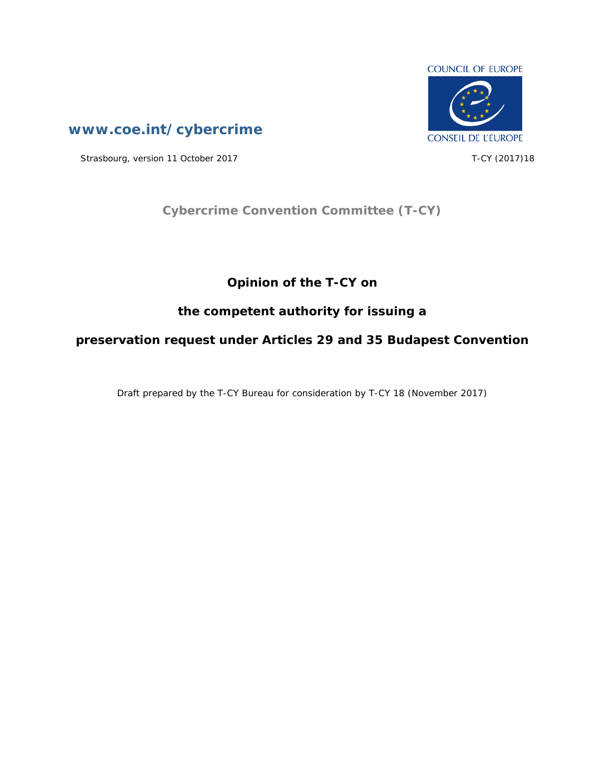

**[www.coe.int/cybercrime](http://www.coe.int/TCY)**

Strasbourg, version 11 October 2017 T-CY (2017)18

## **Cybercrime Convention Committee (T-CY)**

## **Opinion of the T-CY on**

## **the competent authority for issuing a**

**preservation request under Articles 29 and 35 Budapest Convention**

Draft prepared by the T-CY Bureau for consideration by T-CY 18 (November 2017)